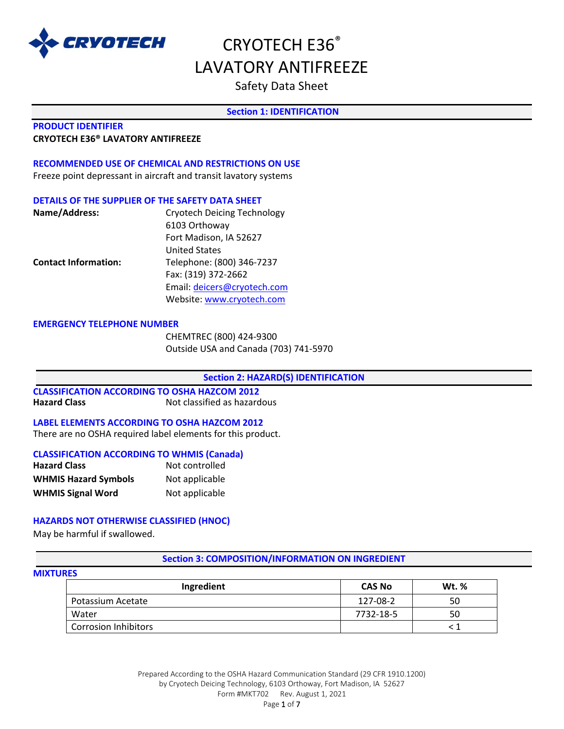

## Safety Data Sheet

## **Section 1: IDENTIFICATION**

#### **PRODUCT IDENTIFIER**

#### **CRYOTECH E36® LAVATORY ANTIFREEZE**

## **RECOMMENDED USE OF CHEMICAL AND RESTRICTIONS ON USE**

Freeze point depressant in aircraft and transit lavatory systems

### **DETAILS OF THE SUPPLIER OF THE SAFETY DATA SHEET**

| Name/Address:               | <b>Cryotech Deicing Technology</b> |
|-----------------------------|------------------------------------|
|                             | 6103 Orthoway                      |
|                             | Fort Madison, IA 52627             |
|                             | <b>United States</b>               |
| <b>Contact Information:</b> | Telephone: (800) 346-7237          |
|                             | Fax: (319) 372-2662                |
|                             | Email: deicers@cryotech.com        |
|                             | Website: www.cryotech.com          |

#### **EMERGENCY TELEPHONE NUMBER**

CHEMTREC (800) 424-9300 Outside USA and Canada (703) 741-5970

#### **Section 2: HAZARD(S) IDENTIFICATION**

## **CLASSIFICATION ACCORDING TO OSHA HAZCOM 2012 Hazard Class** Not classified as hazardous

### **LABEL ELEMENTS ACCORDING TO OSHA HAZCOM 2012**

There are no OSHA required label elements for this product.

### **CLASSIFICATION ACCORDING TO WHMIS (Canada)**

| <b>Hazard Class</b>         | Not controlled |
|-----------------------------|----------------|
| <b>WHMIS Hazard Symbols</b> | Not applicable |
| <b>WHMIS Signal Word</b>    | Not applicable |

## **HAZARDS NOT OTHERWISE CLASSIFIED (HNOC)**

May be harmful if swallowed.

## **Section 3: COMPOSITION/INFORMATION ON INGREDIENT**

#### **MIXTURES**

| Ingredient                  | <b>CAS No</b> | <b>Wt. %</b> |
|-----------------------------|---------------|--------------|
| Potassium Acetate           | 127-08-2      | 50           |
| Water                       | 7732-18-5     | 50           |
| <b>Corrosion Inhibitors</b> |               |              |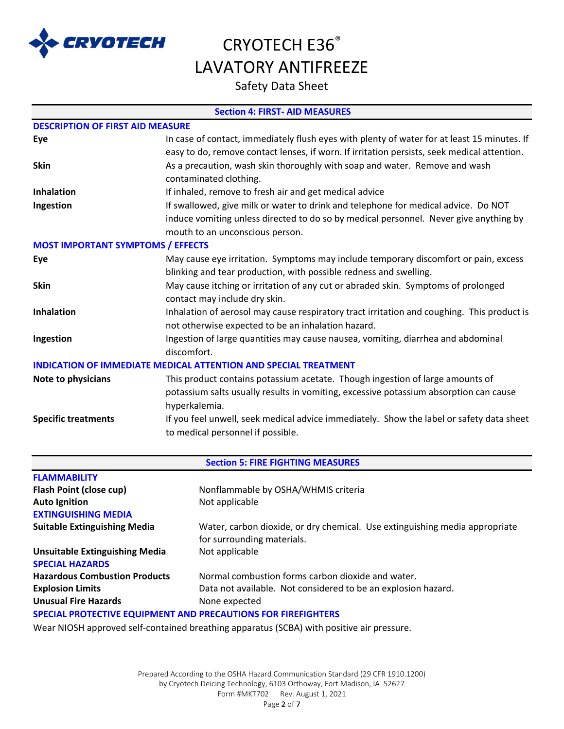

# CRYOTECH E36<sup>®</sup> LAVATORY ANTIFREEZE

Safety Data Sheet

## **Section 4: FIRST- AID MEASURES**

| <b>DESCRIPTION OF FIRST AID MEASURE</b>  |                                                                                             |
|------------------------------------------|---------------------------------------------------------------------------------------------|
| Eye                                      | In case of contact, immediately flush eyes with plenty of water for at least 15 minutes. If |
|                                          | easy to do, remove contact lenses, if worn. If irritation persists, seek medical attention. |
| <b>Skin</b>                              | As a precaution, wash skin thoroughly with soap and water. Remove and wash                  |
|                                          | contaminated clothing.                                                                      |
| <b>Inhalation</b>                        | If inhaled, remove to fresh air and get medical advice                                      |
| Ingestion                                | If swallowed, give milk or water to drink and telephone for medical advice. Do NOT          |
|                                          | induce vomiting unless directed to do so by medical personnel. Never give anything by       |
|                                          | mouth to an unconscious person.                                                             |
| <b>MOST IMPORTANT SYMPTOMS / EFFECTS</b> |                                                                                             |
| Eye                                      | May cause eye irritation. Symptoms may include temporary discomfort or pain, excess         |
|                                          | blinking and tear production, with possible redness and swelling.                           |
| <b>Skin</b>                              | May cause itching or irritation of any cut or abraded skin. Symptoms of prolonged           |
|                                          | contact may include dry skin.                                                               |
| Inhalation                               | Inhalation of aerosol may cause respiratory tract irritation and coughing. This product is  |
|                                          | not otherwise expected to be an inhalation hazard.                                          |
| Ingestion                                | Ingestion of large quantities may cause nausea, vomiting, diarrhea and abdominal            |
|                                          | discomfort.                                                                                 |
|                                          | <b>INDICATION OF IMMEDIATE MEDICAL ATTENTION AND SPECIAL TREATMENT</b>                      |
| Note to physicians                       | This product contains potassium acetate. Though ingestion of large amounts of               |
|                                          | potassium salts usually results in vomiting, excessive potassium absorption can cause       |
|                                          | hyperkalemia.                                                                               |
| <b>Specific treatments</b>               | If you feel unwell, seek medical advice immediately. Show the label or safety data sheet    |
|                                          | to medical personnel if possible.                                                           |
|                                          |                                                                                             |

| <b>Section 5: FIRE FIGHTING MEASURES</b>                      |                                                                             |  |
|---------------------------------------------------------------|-----------------------------------------------------------------------------|--|
| <b>FLAMMABILITY</b>                                           |                                                                             |  |
| Flash Point (close cup)                                       | Nonflammable by OSHA/WHMIS criteria                                         |  |
| <b>Auto Ignition</b>                                          | Not applicable                                                              |  |
| <b>EXTINGUISHING MEDIA</b>                                    |                                                                             |  |
| <b>Suitable Extinguishing Media</b>                           | Water, carbon dioxide, or dry chemical. Use extinguishing media appropriate |  |
|                                                               | for surrounding materials.                                                  |  |
| <b>Unsuitable Extinguishing Media</b>                         | Not applicable                                                              |  |
| <b>SPECIAL HAZARDS</b>                                        |                                                                             |  |
| <b>Hazardous Combustion Products</b>                          | Normal combustion forms carbon dioxide and water.                           |  |
| <b>Explosion Limits</b>                                       | Data not available. Not considered to be an explosion hazard.               |  |
| <b>Unusual Fire Hazards</b>                                   | None expected                                                               |  |
| SPECIAL PROTECTIVE EQUIPMENT AND PRECAUTIONS FOR FIREFIGHTERS |                                                                             |  |

Wear NIOSH approved self-contained breathing apparatus (SCBA) with positive air pressure.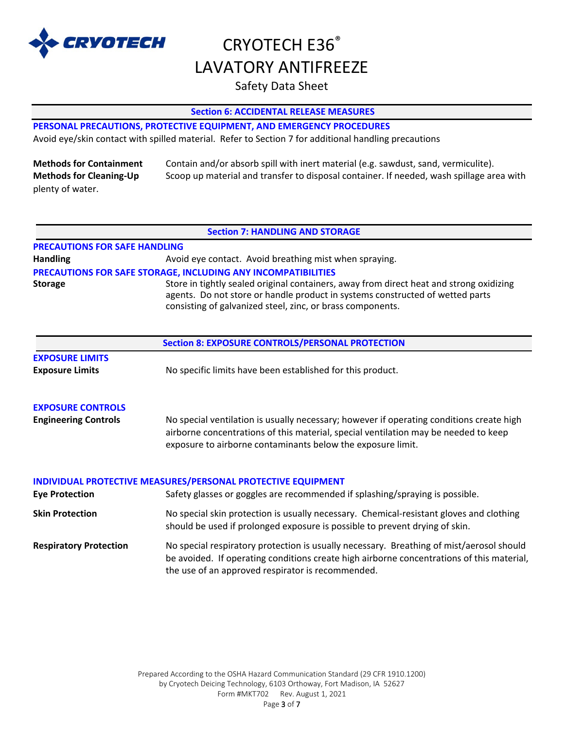

# CRYOTECH E36<sup>®</sup> LAVATORY ANTIFREEZE

## Safety Data Sheet

## **Section 6: ACCIDENTAL RELEASE MEASURES**

## **PERSONAL PRECAUTIONS, PROTECTIVE EQUIPMENT, AND EMERGENCY PROCEDURES**

Avoid eye/skin contact with spilled material. Refer to Section 7 for additional handling precautions

| <b>Methods for Containment</b> | Contain and/or absorb spill with inert material (e.g. sawdust, sand, vermiculite).       |
|--------------------------------|------------------------------------------------------------------------------------------|
| <b>Methods for Cleaning-Up</b> | Scoop up material and transfer to disposal container. If needed, wash spillage area with |
| plenty of water.               |                                                                                          |

#### **Section 7: HANDLING AND STORAGE**

| <b>PRECAUTIONS FOR SAFE HANDLING</b> |                                                                                                                                                                                                                                        |
|--------------------------------------|----------------------------------------------------------------------------------------------------------------------------------------------------------------------------------------------------------------------------------------|
| <b>Handling</b>                      | Avoid eye contact. Avoid breathing mist when spraying.                                                                                                                                                                                 |
|                                      | <b>PRECAUTIONS FOR SAFE STORAGE, INCLUDING ANY INCOMPATIBILITIES</b>                                                                                                                                                                   |
| <b>Storage</b>                       | Store in tightly sealed original containers, away from direct heat and strong oxidizing<br>agents. Do not store or handle product in systems constructed of wetted parts<br>consisting of galvanized steel, zinc, or brass components. |

| <b>Section 8: EXPOSURE CONTROLS/PERSONAL PROTECTION</b> |                                                                                                                                                                                                                                                |  |
|---------------------------------------------------------|------------------------------------------------------------------------------------------------------------------------------------------------------------------------------------------------------------------------------------------------|--|
| <b>EXPOSURE LIMITS</b><br><b>Exposure Limits</b>        | No specific limits have been established for this product.                                                                                                                                                                                     |  |
| <b>EXPOSURE CONTROLS</b>                                |                                                                                                                                                                                                                                                |  |
| <b>Engineering Controls</b>                             | No special ventilation is usually necessary; however if operating conditions create high<br>airborne concentrations of this material, special ventilation may be needed to keep<br>exposure to airborne contaminants below the exposure limit. |  |
|                                                         | INDIVIDUAL PROTECTIVE MEASURES/PERSONAL PROTECTIVE EQUIPMENT                                                                                                                                                                                   |  |
| <b>Eye Protection</b>                                   | Safety glasses or goggles are recommended if splashing/spraying is possible.                                                                                                                                                                   |  |
| <b>Skin Protection</b>                                  | No special skin protection is usually necessary. Chemical-resistant gloves and clothing<br>should be used if prolonged exposure is possible to prevent drying of skin.                                                                         |  |
| <b>Respiratory Protection</b>                           | No special respiratory protection is usually necessary. Breathing of mist/aerosol should<br>be avoided. If operating conditions create high airborne concentrations of this material,<br>the use of an approved respirator is recommended.     |  |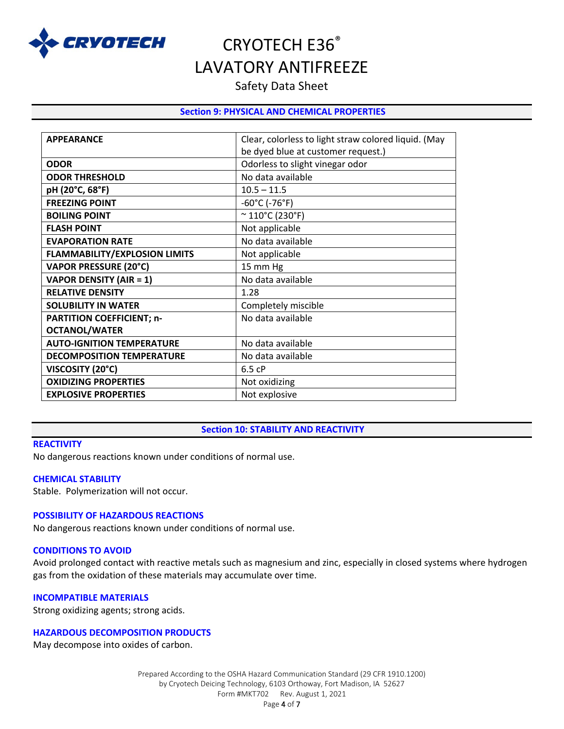

## Safety Data Sheet

## **Section 9: PHYSICAL AND CHEMICAL PROPERTIES**

| <b>APPEARANCE</b>                    | Clear, colorless to light straw colored liquid. (May |
|--------------------------------------|------------------------------------------------------|
|                                      | be dyed blue at customer request.)                   |
| <b>ODOR</b>                          | Odorless to slight vinegar odor                      |
| <b>ODOR THRESHOLD</b>                | No data available                                    |
| pH (20°C, 68°F)                      | $10.5 - 11.5$                                        |
| <b>FREEZING POINT</b>                | $-60^{\circ}$ C (-76 $^{\circ}$ F)                   |
| <b>BOILING POINT</b>                 | $~^{\circ}$ 110 $^{\circ}$ C (230 $^{\circ}$ F)      |
| <b>FLASH POINT</b>                   | Not applicable                                       |
| <b>EVAPORATION RATE</b>              | No data available                                    |
| <b>FLAMMABILITY/EXPLOSION LIMITS</b> | Not applicable                                       |
| <b>VAPOR PRESSURE (20°C)</b>         | 15 mm Hg                                             |
| <b>VAPOR DENSITY (AIR = 1)</b>       | No data available                                    |
| <b>RELATIVE DENSITY</b>              | 1.28                                                 |
| <b>SOLUBILITY IN WATER</b>           | Completely miscible                                  |
| <b>PARTITION COEFFICIENT; n-</b>     | No data available                                    |
| <b>OCTANOL/WATER</b>                 |                                                      |
| <b>AUTO-IGNITION TEMPERATURE</b>     | No data available                                    |
| <b>DECOMPOSITION TEMPERATURE</b>     | No data available                                    |
| VISCOSITY (20°C)                     | 6.5 cP                                               |
| <b>OXIDIZING PROPERTIES</b>          | Not oxidizing                                        |
| <b>EXPLOSIVE PROPERTIES</b>          | Not explosive                                        |
|                                      |                                                      |

### **Section 10: STABILITY AND REACTIVITY**

#### **REACTIVITY**

No dangerous reactions known under conditions of normal use.

#### **CHEMICAL STABILITY**

Stable. Polymerization will not occur.

### **POSSIBILITY OF HAZARDOUS REACTIONS**

No dangerous reactions known under conditions of normal use.

#### **CONDITIONS TO AVOID**

Avoid prolonged contact with reactive metals such as magnesium and zinc, especially in closed systems where hydrogen gas from the oxidation of these materials may accumulate over time.

#### **INCOMPATIBLE MATERIALS**

Strong oxidizing agents; strong acids.

## **HAZARDOUS DECOMPOSITION PRODUCTS**

May decompose into oxides of carbon.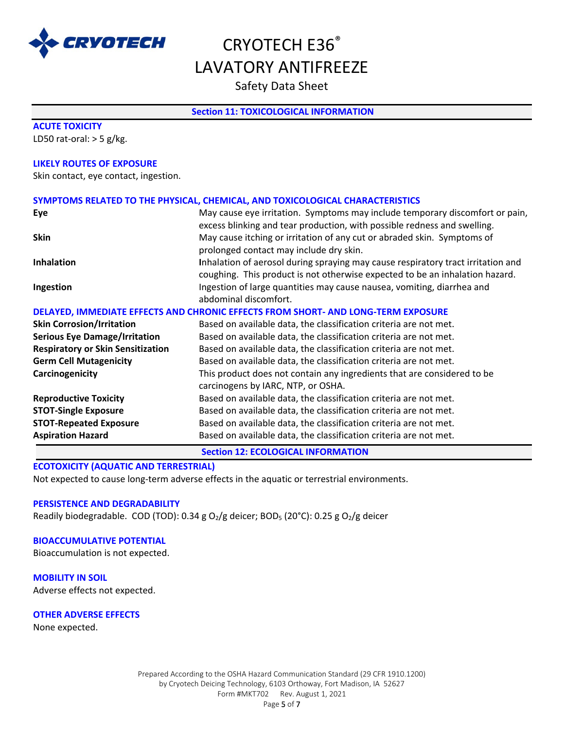

Safety Data Sheet

## **Section 11: TOXICOLOGICAL INFORMATION**

| SYMPTOMS RELATED TO THE PHYSICAL, CHEMICAL, AND TOXICOLOGICAL CHARACTERISTICS                                                                            |
|----------------------------------------------------------------------------------------------------------------------------------------------------------|
| May cause eye irritation. Symptoms may include temporary discomfort or pain,<br>excess blinking and tear production, with possible redness and swelling. |
| May cause itching or irritation of any cut or abraded skin. Symptoms of                                                                                  |
| prolonged contact may include dry skin.                                                                                                                  |
| Inhalation of aerosol during spraying may cause respiratory tract irritation and                                                                         |
| coughing. This product is not otherwise expected to be an inhalation hazard.                                                                             |
| Ingestion of large quantities may cause nausea, vomiting, diarrhea and                                                                                   |
| abdominal discomfort.                                                                                                                                    |
| DELAYED, IMMEDIATE EFFECTS AND CHRONIC EFFECTS FROM SHORT- AND LONG-TERM EXPOSURE                                                                        |
| Based on available data, the classification criteria are not met.                                                                                        |
| Based on available data, the classification criteria are not met.                                                                                        |
| Based on available data, the classification criteria are not met.                                                                                        |
| Based on available data, the classification criteria are not met.                                                                                        |
| This product does not contain any ingredients that are considered to be                                                                                  |
| carcinogens by IARC, NTP, or OSHA.                                                                                                                       |
| Based on available data, the classification criteria are not met.                                                                                        |
| Based on available data, the classification criteria are not met.                                                                                        |
|                                                                                                                                                          |
| Based on available data, the classification criteria are not met.                                                                                        |
|                                                                                                                                                          |

**Section 12: ECOLOGICAL INFORMATION**

**ECOTOXICITY (AQUATIC AND TERRESTRIAL)**

Not expected to cause long-term adverse effects in the aquatic or terrestrial environments.

#### **PERSISTENCE AND DEGRADABILITY**

Readily biodegradable. COD (TOD): 0.34 g O<sub>2</sub>/g deicer; BOD<sub>5</sub> (20°C): 0.25 g O<sub>2</sub>/g deicer

#### **BIOACCUMULATIVE POTENTIAL**

Bioaccumulation is not expected.

**MOBILITY IN SOIL** Adverse effects not expected.

#### **OTHER ADVERSE EFFECTS**

None expected.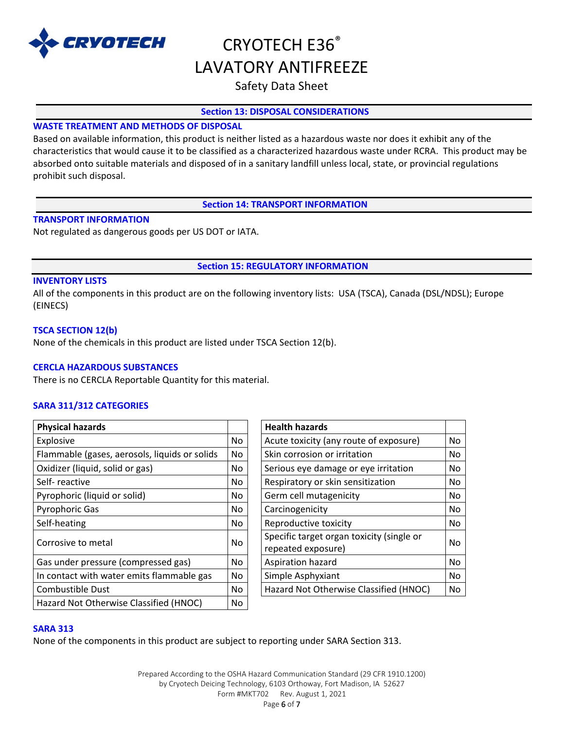

## Safety Data Sheet

## **Section 13: DISPOSAL CONSIDERATIONS**

## **WASTE TREATMENT AND METHODS OF DISPOSAL**

Based on available information, this product is neither listed as a hazardous waste nor does it exhibit any of the characteristics that would cause it to be classified as a characterized hazardous waste under RCRA. This product may be absorbed onto suitable materials and disposed of in a sanitary landfill unless local, state, or provincial regulations prohibit such disposal.

**Section 14: TRANSPORT INFORMATION**

## **TRANSPORT INFORMATION**

Not regulated as dangerous goods per US DOT or IATA.

## **Section 15: REGULATORY INFORMATION**

## **INVENTORY LISTS**

All of the components in this product are on the following inventory lists: USA (TSCA), Canada (DSL/NDSL); Europe (EINECS)

## **TSCA SECTION 12(b)**

None of the chemicals in this product are listed under TSCA Section 12(b).

## **CERCLA HAZARDOUS SUBSTANCES**

There is no CERCLA Reportable Quantity for this material.

## **SARA 311/312 CATEGORIES**

| <b>Physical hazards</b>                       |     | <b>Health hazards</b>                                           |    |
|-----------------------------------------------|-----|-----------------------------------------------------------------|----|
| Explosive                                     | No. | Acute toxicity (any route of exposure)                          | No |
| Flammable (gases, aerosols, liquids or solids | No. | Skin corrosion or irritation                                    | No |
| Oxidizer (liquid, solid or gas)               | No. | Serious eye damage or eye irritation                            | No |
| Self-reactive                                 | No. | Respiratory or skin sensitization                               | No |
| Pyrophoric (liquid or solid)                  | No. | Germ cell mutagenicity                                          | No |
| <b>Pyrophoric Gas</b>                         | No. | Carcinogenicity                                                 | No |
| Self-heating                                  | No. | Reproductive toxicity                                           | No |
| Corrosive to metal                            | No. | Specific target organ toxicity (single or<br>repeated exposure) | No |
| Gas under pressure (compressed gas)           | No. | Aspiration hazard                                               | No |
| In contact with water emits flammable gas     | No. | Simple Asphyxiant                                               | No |
| Combustible Dust                              | No. | Hazard Not Otherwise Classified (HNOC)                          | No |
| Hazard Not Otherwise Classified (HNOC)        | No  |                                                                 |    |
|                                               |     |                                                                 |    |

| <b>Health hazards</b>                     |    |
|-------------------------------------------|----|
| Acute toxicity (any route of exposure)    | No |
| Skin corrosion or irritation              | No |
| Serious eye damage or eye irritation      | No |
| Respiratory or skin sensitization         | No |
| Germ cell mutagenicity                    | No |
| Carcinogenicity                           |    |
| Reproductive toxicity                     | No |
| Specific target organ toxicity (single or |    |
| repeated exposure)                        |    |
| Aspiration hazard                         | No |
| Simple Asphyxiant                         | No |
| Hazard Not Otherwise Classified (HNOC)    | No |

### **SARA 313**

None of the components in this product are subject to reporting under SARA Section 313.

Prepared According to the OSHA Hazard Communication Standard (29 CFR 1910.1200) by Cryotech Deicing Technology, 6103 Orthoway, Fort Madison, IA 52627 Form #MKT702 Rev. August 1, 2021